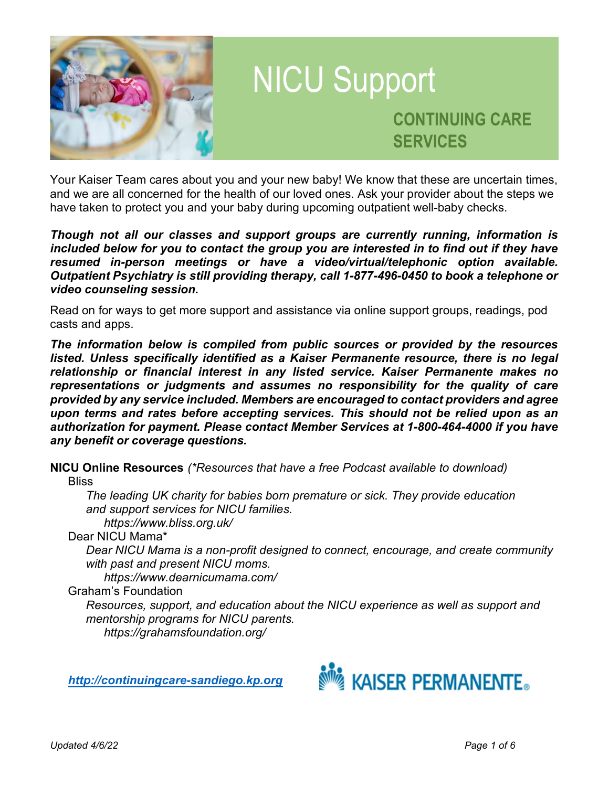

Your Kaiser Team cares about you and your new baby! We know that these are uncertain times, and we are all concerned for the health of our loved ones. Ask your provider about the steps we have taken to protect you and your baby during upcoming outpatient well-baby checks.

Though not all our classes and support groups are currently running, information is included below for you to contact the group you are interested in to find out if they have resumed in-person meetings or have a video/virtual/telephonic option available. Outpatient Psychiatry is still providing therapy, call 1-877-496-0450 to book a telephone or video counseling session.

Read on for ways to get more support and assistance via online support groups, readings, pod casts and apps.

The information below is compiled from public sources or provided by the resources listed. Unless specifically identified as a Kaiser Permanente resource, there is no legal relationship or financial interest in any listed service. Kaiser Permanente makes no representations or judgments and assumes no responsibility for the quality of care provided by any service included. Members are encouraged to contact providers and agree upon terms and rates before accepting services. This should not be relied upon as an authorization for payment. Please contact Member Services at 1-800-464-4000 if you have any benefit or coverage questions.

NICU Online Resources (\*Resources that have a free Podcast available to download)

**Bliss** 

 The leading UK charity for babies born premature or sick. They provide education and support services for NICU families.

https://www.bliss.org.uk/

Dear NICU Mama\*

 Dear NICU Mama is a non-profit designed to connect, encourage, and create community with past and present NICU moms.

https://www.dearnicumama.com/

Graham's Foundation

Resources, support, and education about the NICU experience as well as support and mentorship programs for NICU parents. https://grahamsfoundation.org/

http://continuingcare-sandiego.kp.org

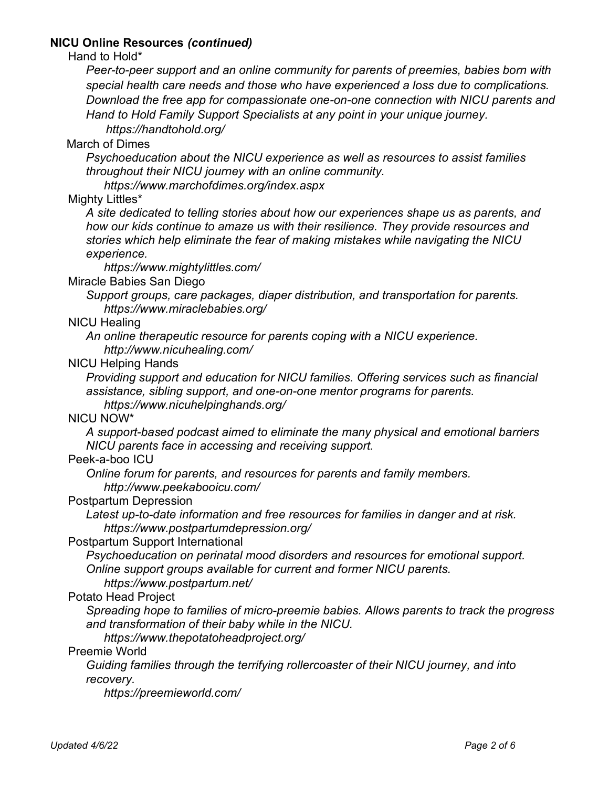## NICU Online Resources (continued)

Hand to Hold\*

Peer-to-peer support and an online community for parents of preemies, babies born with special health care needs and those who have experienced a loss due to complications. Download the free app for compassionate one-on-one connection with NICU parents and Hand to Hold Family Support Specialists at any point in your unique journey.

https://handtohold.org/

### March of Dimes

Psychoeducation about the NICU experience as well as resources to assist families throughout their NICU journey with an online community.

https://www.marchofdimes.org/index.aspx

### Mighty Littles\*

A site dedicated to telling stories about how our experiences shape us as parents, and how our kids continue to amaze us with their resilience. They provide resources and stories which help eliminate the fear of making mistakes while navigating the NICU experience.

https://www.mightylittles.com/

### Miracle Babies San Diego

 Support groups, care packages, diaper distribution, and transportation for parents. https://www.miraclebabies.org/

### NICU Healing

 An online therapeutic resource for parents coping with a NICU experience. http://www.nicuhealing.com/

### NICU Helping Hands

 Providing support and education for NICU families. Offering services such as financial assistance, sibling support, and one-on-one mentor programs for parents.

https://www.nicuhelpinghands.org/

## NICU NOW\*

A support-based podcast aimed to eliminate the many physical and emotional barriers NICU parents face in accessing and receiving support.

### Peek-a-boo ICU

 Online forum for parents, and resources for parents and family members. http://www.peekabooicu.com/

#### Postpartum Depression

 Latest up-to-date information and free resources for families in danger and at risk. https://www.postpartumdepression.org/

#### Postpartum Support International

Psychoeducation on perinatal mood disorders and resources for emotional support. Online support groups available for current and former NICU parents. https://www.postpartum.net/

### Potato Head Project

 Spreading hope to families of micro-preemie babies. Allows parents to track the progress and transformation of their baby while in the NICU.

### https://www.thepotatoheadproject.org/

## Preemie World

Guiding families through the terrifying rollercoaster of their NICU journey, and into recovery.

https://preemieworld.com/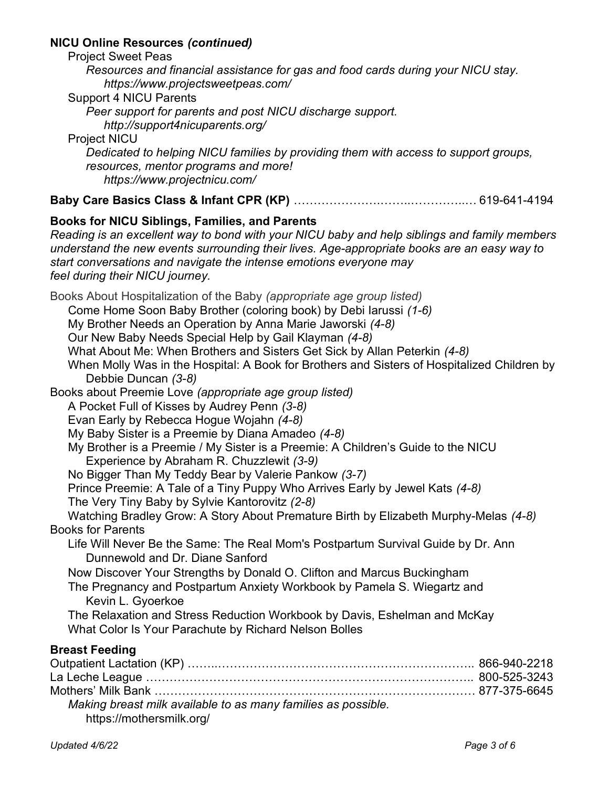## NICU Online Resources (continued)

| <b>NICU Online Resources (continued)</b>                                                                                                                                                                                                                                                                                                                                                                                                                                                                                                                                                                                    |
|-----------------------------------------------------------------------------------------------------------------------------------------------------------------------------------------------------------------------------------------------------------------------------------------------------------------------------------------------------------------------------------------------------------------------------------------------------------------------------------------------------------------------------------------------------------------------------------------------------------------------------|
| <b>Project Sweet Peas</b><br>Resources and financial assistance for gas and food cards during your NICU stay.<br>https://www.projectsweetpeas.com/<br><b>Support 4 NICU Parents</b>                                                                                                                                                                                                                                                                                                                                                                                                                                         |
| Peer support for parents and post NICU discharge support.<br>http://support4nicuparents.org/<br><b>Project NICU</b>                                                                                                                                                                                                                                                                                                                                                                                                                                                                                                         |
| Dedicated to helping NICU families by providing them with access to support groups,<br>resources, mentor programs and more!<br>https://www.projectnicu.com/                                                                                                                                                                                                                                                                                                                                                                                                                                                                 |
|                                                                                                                                                                                                                                                                                                                                                                                                                                                                                                                                                                                                                             |
| <b>Books for NICU Siblings, Families, and Parents</b><br>Reading is an excellent way to bond with your NICU baby and help siblings and family members<br>understand the new events surrounding their lives. Age-appropriate books are an easy way to<br>start conversations and navigate the intense emotions everyone may<br>feel during their NICU journey.                                                                                                                                                                                                                                                               |
| Books About Hospitalization of the Baby (appropriate age group listed)<br>Come Home Soon Baby Brother (coloring book) by Debi larussi (1-6)<br>My Brother Needs an Operation by Anna Marie Jaworski (4-8)<br>Our New Baby Needs Special Help by Gail Klayman (4-8)<br>What About Me: When Brothers and Sisters Get Sick by Allan Peterkin (4-8)<br>When Molly Was in the Hospital: A Book for Brothers and Sisters of Hospitalized Children by<br>Debbie Duncan (3-8)                                                                                                                                                       |
| Books about Preemie Love (appropriate age group listed)<br>A Pocket Full of Kisses by Audrey Penn (3-8)<br>Evan Early by Rebecca Hogue Wojahn (4-8)<br>My Baby Sister is a Preemie by Diana Amadeo (4-8)<br>My Brother is a Preemie / My Sister is a Preemie: A Children's Guide to the NICU<br>Experience by Abraham R. Chuzzlewit (3-9)<br>No Bigger Than My Teddy Bear by Valerie Pankow (3-7)<br>Prince Preemie: A Tale of a Tiny Puppy Who Arrives Early by Jewel Kats (4-8)<br>The Very Tiny Baby by Sylvie Kantorovitz (2-8)<br>Watching Bradley Grow: A Story About Premature Birth by Elizabeth Murphy-Melas (4-8) |
| <b>Books for Parents</b>                                                                                                                                                                                                                                                                                                                                                                                                                                                                                                                                                                                                    |
| Life Will Never Be the Same: The Real Mom's Postpartum Survival Guide by Dr. Ann<br>Dunnewold and Dr. Diane Sanford<br>Now Discover Your Strengths by Donald O. Clifton and Marcus Buckingham<br>The Pregnancy and Postpartum Anxiety Workbook by Pamela S. Wiegartz and<br>Kevin L. Gyoerkoe<br>The Relaxation and Stress Reduction Workbook by Davis, Eshelman and McKay<br>What Color Is Your Parachute by Richard Nelson Bolles                                                                                                                                                                                         |
| <b>Breast Feeding</b><br><b>Outpatient Lactation (KP)</b><br>866-940-2218                                                                                                                                                                                                                                                                                                                                                                                                                                                                                                                                                   |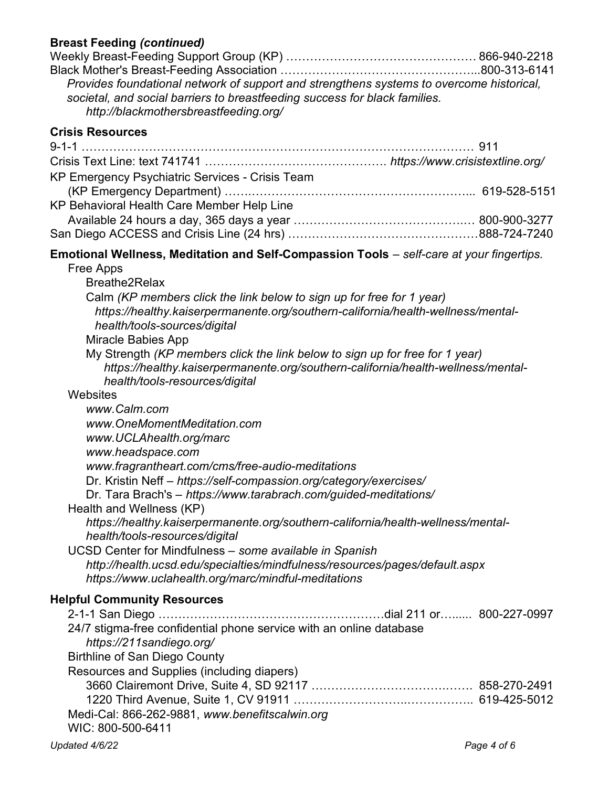# Breast Feeding (continued)

| Preast reeding (commaca)<br>Provides foundational network of support and strengthens systems to overcome historical,<br>societal, and social barriers to breastfeeding success for black families.<br>http://blackmothersbreastfeeding.org/ |  |  |
|---------------------------------------------------------------------------------------------------------------------------------------------------------------------------------------------------------------------------------------------|--|--|
| <b>Crisis Resources</b>                                                                                                                                                                                                                     |  |  |
|                                                                                                                                                                                                                                             |  |  |
| KP Emergency Psychiatric Services - Crisis Team                                                                                                                                                                                             |  |  |
|                                                                                                                                                                                                                                             |  |  |
| KP Behavioral Health Care Member Help Line                                                                                                                                                                                                  |  |  |
|                                                                                                                                                                                                                                             |  |  |
|                                                                                                                                                                                                                                             |  |  |
| Emotional Wellness, Meditation and Self-Compassion Tools - self-care at your fingertips.                                                                                                                                                    |  |  |
| Free Apps                                                                                                                                                                                                                                   |  |  |
| <b>Breathe2Relax</b>                                                                                                                                                                                                                        |  |  |
| Calm (KP members click the link below to sign up for free for 1 year)                                                                                                                                                                       |  |  |
| https://healthy.kaiserpermanente.org/southern-california/health-wellness/mental-                                                                                                                                                            |  |  |
| health/tools-sources/digital                                                                                                                                                                                                                |  |  |
| <b>Miracle Babies App</b><br>My Strength (KP members click the link below to sign up for free for 1 year)                                                                                                                                   |  |  |
| https://healthy.kaiserpermanente.org/southern-california/health-wellness/mental-                                                                                                                                                            |  |  |
| health/tools-resources/digital                                                                                                                                                                                                              |  |  |
| Websites                                                                                                                                                                                                                                    |  |  |
| www.Calm.com                                                                                                                                                                                                                                |  |  |
| www.OneMomentMeditation.com                                                                                                                                                                                                                 |  |  |
| www.UCLAhealth.org/marc                                                                                                                                                                                                                     |  |  |
| www.headspace.com<br>www.fragrantheart.com/cms/free-audio-meditations                                                                                                                                                                       |  |  |
| Dr. Kristin Neff - https://self-compassion.org/category/exercises/                                                                                                                                                                          |  |  |
| Dr. Tara Brach's - https://www.tarabrach.com/guided-meditations/                                                                                                                                                                            |  |  |
| Health and Wellness (KP)                                                                                                                                                                                                                    |  |  |
| https://healthy.kaiserpermanente.org/southern-california/health-wellness/mental-                                                                                                                                                            |  |  |
| health/tools-resources/digital                                                                                                                                                                                                              |  |  |
| UCSD Center for Mindfulness - some available in Spanish                                                                                                                                                                                     |  |  |
| http://health.ucsd.edu/specialties/mindfulness/resources/pages/default.aspx                                                                                                                                                                 |  |  |
| https://www.uclahealth.org/marc/mindful-meditations                                                                                                                                                                                         |  |  |
| <b>Helpful Community Resources</b>                                                                                                                                                                                                          |  |  |
|                                                                                                                                                                                                                                             |  |  |
| 24/7 stigma-free confidential phone service with an online database<br>https://211sandiego.org/                                                                                                                                             |  |  |
| <b>Birthline of San Diego County</b>                                                                                                                                                                                                        |  |  |
| Resources and Supplies (including diapers)                                                                                                                                                                                                  |  |  |
|                                                                                                                                                                                                                                             |  |  |
|                                                                                                                                                                                                                                             |  |  |
| Medi-Cal: 866-262-9881, www.benefitscalwin.org                                                                                                                                                                                              |  |  |

WIC: 800-500-6411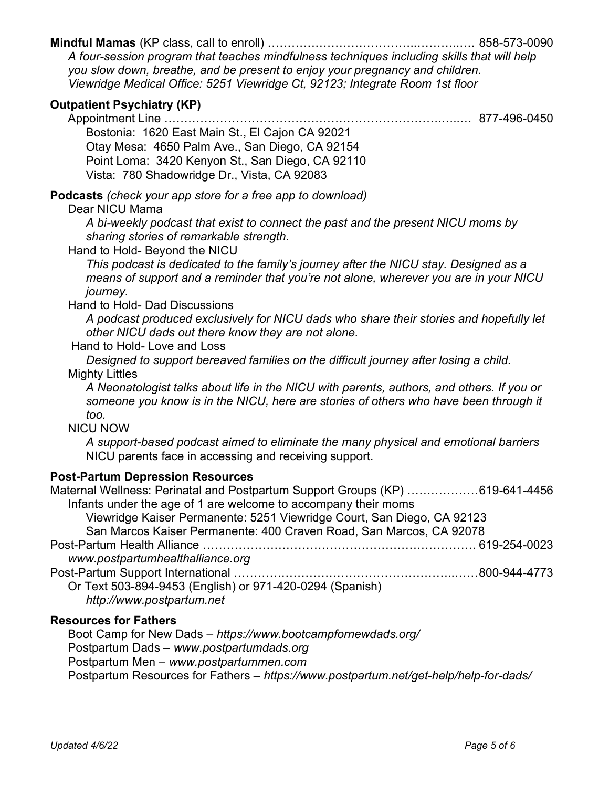## Mindful Mamas (KP class, call to enroll) ………………………………..………..…. 858-573-0090

A four-session program that teaches mindfulness techniques including skills that will help you slow down, breathe, and be present to enjoy your pregnancy and children. Viewridge Medical Office: 5251 Viewridge Ct, 92123; Integrate Room 1st floor

## Outpatient Psychiatry (KP)

Appointment Line …………………………………………………………….…..… 877-496-0450

 Bostonia: 1620 East Main St., El Cajon CA 92021 Otay Mesa: 4650 Palm Ave., San Diego, CA 92154 Point Loma: 3420 Kenyon St., San Diego, CA 92110 Vista: 780 Shadowridge Dr., Vista, CA 92083

Podcasts (check your app store for a free app to download)

### Dear NICU Mama

A bi-weekly podcast that exist to connect the past and the present NICU moms by sharing stories of remarkable strength.

Hand to Hold- Beyond the NICU

This podcast is dedicated to the family's journey after the NICU stay. Designed as a means of support and a reminder that you're not alone, wherever you are in your NICU journey.

Hand to Hold- Dad Discussions

A podcast produced exclusively for NICU dads who share their stories and hopefully let other NICU dads out there know they are not alone.

#### Hand to Hold- Love and Loss

 Designed to support bereaved families on the difficult journey after losing a child. Mighty Littles

A Neonatologist talks about life in the NICU with parents, authors, and others. If you or someone you know is in the NICU, here are stories of others who have been through it too.

NICU NOW

A support-based podcast aimed to eliminate the many physical and emotional barriers NICU parents face in accessing and receiving support.

### Post-Partum Depression Resources

| Maternal Wellness: Perinatal and Postpartum Support Groups (KP) 619-641-4456 |  |  |
|------------------------------------------------------------------------------|--|--|
| Infants under the age of 1 are welcome to accompany their moms               |  |  |
| Viewridge Kaiser Permanente: 5251 Viewridge Court, San Diego, CA 92123       |  |  |
| San Marcos Kaiser Permanente: 400 Craven Road, San Marcos, CA 92078          |  |  |
| Post-Partum Health Alliance …………………………………………………………………… 619-254-0023          |  |  |
| www.postpartumhealthalliance.org                                             |  |  |
|                                                                              |  |  |
| Or Text 503-894-9453 (English) or 971-420-0294 (Spanish)                     |  |  |
| http://www.postpartum.net                                                    |  |  |

### Resources for Fathers

 Boot Camp for New Dads – https://www.bootcampfornewdads.org/ Postpartum Dads – www.postpartumdads.org Postpartum Men – www.postpartummen.com Postpartum Resources for Fathers – https://www.postpartum.net/get-help/help-for-dads/